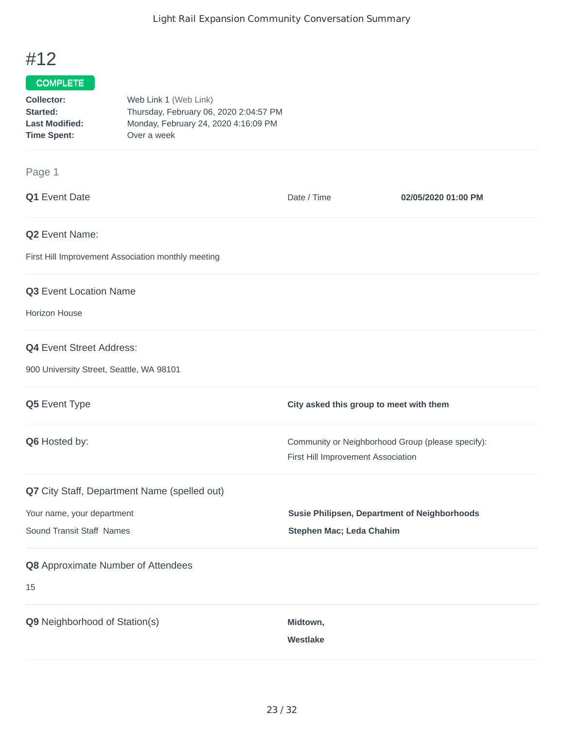## #12

## COMPLETE

| Collector:            | Web Link 1 (Web Link)                  |
|-----------------------|----------------------------------------|
| Started:              | Thursday, February 06, 2020 2:04:57 PM |
| <b>Last Modified:</b> | Monday, February 24, 2020 4:16:09 PM   |
| <b>Time Spent:</b>    | Over a week                            |

## Page 1

| Q1 Event Date                                      | Date / Time                                                                             | 02/05/2020 01:00 PM |
|----------------------------------------------------|-----------------------------------------------------------------------------------------|---------------------|
| Q2 Event Name:                                     |                                                                                         |                     |
| First Hill Improvement Association monthly meeting |                                                                                         |                     |
| Q3 Event Location Name                             |                                                                                         |                     |
| <b>Horizon House</b>                               |                                                                                         |                     |
| <b>Q4</b> Event Street Address:                    |                                                                                         |                     |
| 900 University Street, Seattle, WA 98101           |                                                                                         |                     |
| Q5 Event Type                                      | City asked this group to meet with them                                                 |                     |
| Q6 Hosted by:                                      | Community or Neighborhood Group (please specify):<br>First Hill Improvement Association |                     |
| Q7 City Staff, Department Name (spelled out)       |                                                                                         |                     |
| Your name, your department                         | <b>Susie Philipsen, Department of Neighborhoods</b>                                     |                     |
| Sound Transit Staff Names                          | Stephen Mac; Leda Chahim                                                                |                     |
| Q8 Approximate Number of Attendees                 |                                                                                         |                     |
| 15                                                 |                                                                                         |                     |
| Q9 Neighborhood of Station(s)                      | Midtown,                                                                                |                     |
|                                                    | <b>Westlake</b>                                                                         |                     |